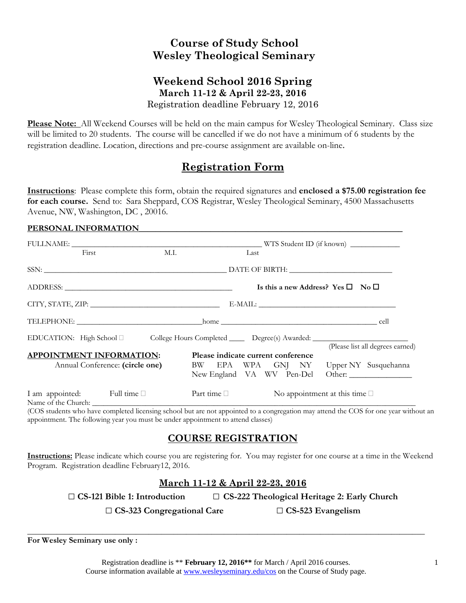# **Course of Study School Wesley Theological Seminary**

### **Weekend School 2016 Spring March 11-12 & April 22-23, 2016**  Registration deadline February 12, 2016

**Please Note:** All Weekend Courses will be held on the main campus for Wesley Theological Seminary. Class size will be limited to 20 students. The course will be cancelled if we do not have a minimum of 6 students by the registration deadline. Location, directions and pre-course assignment are available on-line.

# **Registration Form**

**Instructions**: Please complete this form, obtain the required signatures and **enclosed a \$75.00 registration fee for each course.** Send to: Sara Sheppard, COS Registrar, Wesley Theological Seminary, 4500 Massachusetts Avenue, NW, Washington, DC , 20016.

#### PERSONAL INFORMATION

| First                           | M.I.                                                                                     |                                                                                                                  | Last                                              |  |                                       |                                  |  |  |
|---------------------------------|------------------------------------------------------------------------------------------|------------------------------------------------------------------------------------------------------------------|---------------------------------------------------|--|---------------------------------------|----------------------------------|--|--|
|                                 |                                                                                          |                                                                                                                  |                                                   |  |                                       |                                  |  |  |
|                                 |                                                                                          |                                                                                                                  | Is this a new Address? Yes $\square$ No $\square$ |  |                                       |                                  |  |  |
|                                 |                                                                                          |                                                                                                                  |                                                   |  |                                       |                                  |  |  |
|                                 |                                                                                          |                                                                                                                  |                                                   |  |                                       |                                  |  |  |
|                                 | EDUCATION: High School □ College Hours Completed ______ Degree(s) Awarded: _____________ |                                                                                                                  |                                                   |  |                                       |                                  |  |  |
| <b>APPOINTMENT INFORMATION:</b> | Annual Conference: (circle one)                                                          | Please indicate current conference<br>BW EPA WPA GNJ NY Upper NY Susquehanna<br>New England VA WV Pen-Del Other: |                                                   |  |                                       | (Please list all degrees earned) |  |  |
| I am appointed: Full time       |                                                                                          | Part time $\Box$                                                                                                 |                                                   |  | No appointment at this time $\square$ |                                  |  |  |

(COS students who have completed licensing school but are not appointed to a congregation may attend the COS for one year without an appointment. The following year you must be under appointment to attend classes)

## **COURSE REGISTRATION**

**Instructions:** Please indicate which course you are registering for. You may register for one course at a time in the Weekend Program. Registration deadline February12, 2016.

### **March 11-12 & April 22-23, 2016**

□ **CS-121 Bible 1: Introduction** □ **CS-222 Theological Heritage 2: Early Church**

□ **CS-323 Congregational Care** □ **CS-523 Evangelism**

**For Wesley Seminary use only :** 

**\_\_\_\_\_\_\_\_\_\_\_\_\_\_\_\_\_\_\_\_\_\_\_\_\_\_\_\_\_\_\_\_\_\_\_\_\_\_\_\_\_\_\_\_\_\_\_\_\_\_\_\_\_\_\_\_\_\_\_\_\_\_\_\_\_\_\_\_\_\_\_\_\_\_\_\_\_\_\_\_\_\_\_\_\_\_\_\_\_\_\_\_\_\_\_**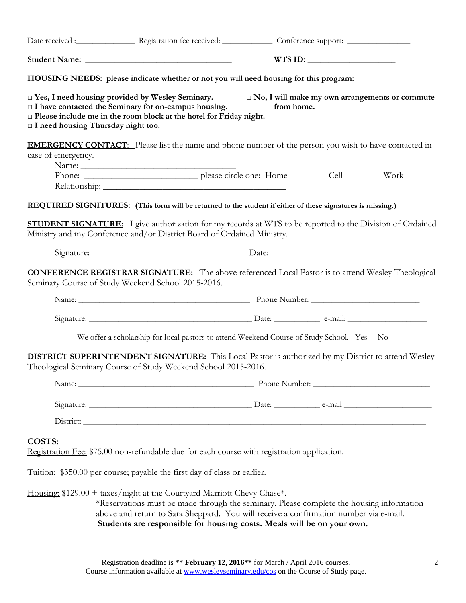|                                                                                                                                                                                                                                                                                                        |                                                                                                                                                                                                                                                              |  | WTS ID: $\qquad \qquad$ |      |      |  |  |  |
|--------------------------------------------------------------------------------------------------------------------------------------------------------------------------------------------------------------------------------------------------------------------------------------------------------|--------------------------------------------------------------------------------------------------------------------------------------------------------------------------------------------------------------------------------------------------------------|--|-------------------------|------|------|--|--|--|
|                                                                                                                                                                                                                                                                                                        |                                                                                                                                                                                                                                                              |  |                         |      |      |  |  |  |
| $\Box$ Yes, I need housing provided by Wesley Seminary.<br>□ No, I will make my own arrangements or commute<br>□ I have contacted the Seminary for on-campus housing.<br>from home.<br>$\Box$ Please include me in the room block at the hotel for Friday night.<br>I need housing Thursday night too. |                                                                                                                                                                                                                                                              |  |                         |      |      |  |  |  |
| case of emergency.                                                                                                                                                                                                                                                                                     | <b>EMERGENCY CONTACT:</b> Please list the name and phone number of the person you wish to have contacted in                                                                                                                                                  |  |                         | Cell | Work |  |  |  |
|                                                                                                                                                                                                                                                                                                        |                                                                                                                                                                                                                                                              |  |                         |      |      |  |  |  |
|                                                                                                                                                                                                                                                                                                        | REQUIRED SIGNITURES: (This form will be returned to the student if either of these signatures is missing.)                                                                                                                                                   |  |                         |      |      |  |  |  |
|                                                                                                                                                                                                                                                                                                        | <b>STUDENT SIGNATURE:</b> I give authorization for my records at WTS to be reported to the Division of Ordained<br>Ministry and my Conference and/or District Board of Ordained Ministry.                                                                    |  |                         |      |      |  |  |  |
|                                                                                                                                                                                                                                                                                                        |                                                                                                                                                                                                                                                              |  |                         |      |      |  |  |  |
|                                                                                                                                                                                                                                                                                                        | <b>CONFERENCE REGISTRAR SIGNATURE:</b> The above referenced Local Pastor is to attend Wesley Theological<br>Seminary Course of Study Weekend School 2015-2016.                                                                                               |  |                         |      |      |  |  |  |
|                                                                                                                                                                                                                                                                                                        |                                                                                                                                                                                                                                                              |  |                         |      |      |  |  |  |
|                                                                                                                                                                                                                                                                                                        |                                                                                                                                                                                                                                                              |  |                         |      |      |  |  |  |
|                                                                                                                                                                                                                                                                                                        | We offer a scholarship for local pastors to attend Weekend Course of Study School. Yes No                                                                                                                                                                    |  |                         |      |      |  |  |  |
|                                                                                                                                                                                                                                                                                                        | <b>DISTRICT SUPERINTENDENT SIGNATURE:</b> This Local Pastor is authorized by my District to attend Wesley<br>Theological Seminary Course of Study Weekend School 2015-2016.                                                                                  |  |                         |      |      |  |  |  |
|                                                                                                                                                                                                                                                                                                        |                                                                                                                                                                                                                                                              |  |                         |      |      |  |  |  |
|                                                                                                                                                                                                                                                                                                        |                                                                                                                                                                                                                                                              |  |                         |      |      |  |  |  |
|                                                                                                                                                                                                                                                                                                        |                                                                                                                                                                                                                                                              |  |                         |      |      |  |  |  |
| COSTS:                                                                                                                                                                                                                                                                                                 | Registration Fee: \$75.00 non-refundable due for each course with registration application.                                                                                                                                                                  |  |                         |      |      |  |  |  |
|                                                                                                                                                                                                                                                                                                        | Tuition: \$350.00 per course; payable the first day of class or earlier.                                                                                                                                                                                     |  |                         |      |      |  |  |  |
|                                                                                                                                                                                                                                                                                                        | Housing: \$129.00 + taxes/night at the Courtyard Marriott Chevy Chase*.<br>*Reservations must be made through the seminary. Please complete the housing information<br>above and return to Sara Sheppard. You will receive a confirmation number via e-mail. |  |                         |      |      |  |  |  |

**Students are responsible for housing costs. Meals will be on your own.**